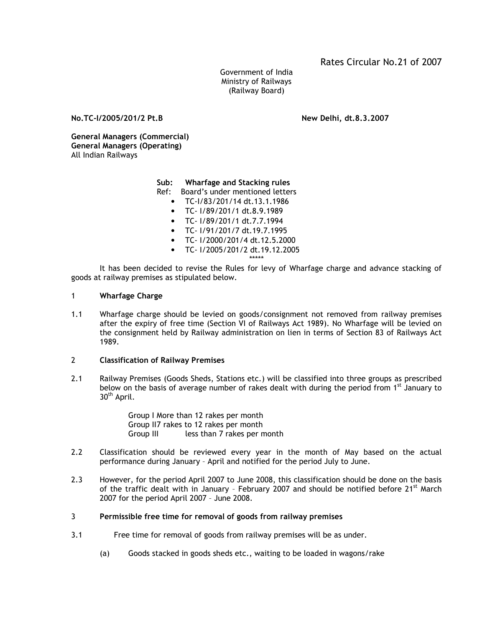Government of India Ministry of Railways (Railway Board)

No.TC-I/2005/201/2 Pt.B New Delhi, dt.8.3.2007

General Managers (Commercial) General Managers (Operating) All Indian Railways

Sub: Wharfage and Stacking rules

- Ref: Board's under mentioned letters
	- TC-I/83/201/14 dt.13.1.1986
	- TC- I/89/201/1 dt.8.9.1989
	- TC- I/89/201/1 dt.7.7.1994
	- TC- I/91/201/7 dt.19.7.1995
	- TC- I/2000/201/4 dt.12.5.2000
	- TC- I/2005/201/2 dt.19.12.2005
		- \*\*\*\*\*

It has been decided to revise the Rules for levy of Wharfage charge and advance stacking of goods at railway premises as stipulated below.

# 1 Wharfage Charge

1.1 Wharfage charge should be levied on goods/consignment not removed from railway premises after the expiry of free time (Section VI of Railways Act 1989). No Wharfage will be levied on the consignment held by Railway administration on lien in terms of Section 83 of Railways Act 1989.

# 2 Classification of Railway Premises

2.1 Railway Premises (Goods Sheds, Stations etc.) will be classified into three groups as prescribed below on the basis of average number of rakes dealt with during the period from  $1<sup>st</sup>$  January to 30<sup>th</sup> April.

> Group I More than 12 rakes per month Group II7 rakes to 12 rakes per month Group III less than 7 rakes per month

- 2.2 Classification should be reviewed every year in the month of May based on the actual performance during January – April and notified for the period July to June.
- 2.3 However, for the period April 2007 to June 2008, this classification should be done on the basis of the traffic dealt with in January - February 2007 and should be notified before 21<sup>st</sup> March 2007 for the period April 2007 – June 2008.
- 3 Permissible free time for removal of goods from railway premises
- 3.1 Free time for removal of goods from railway premises will be as under.
	- (a) Goods stacked in goods sheds etc., waiting to be loaded in wagons/rake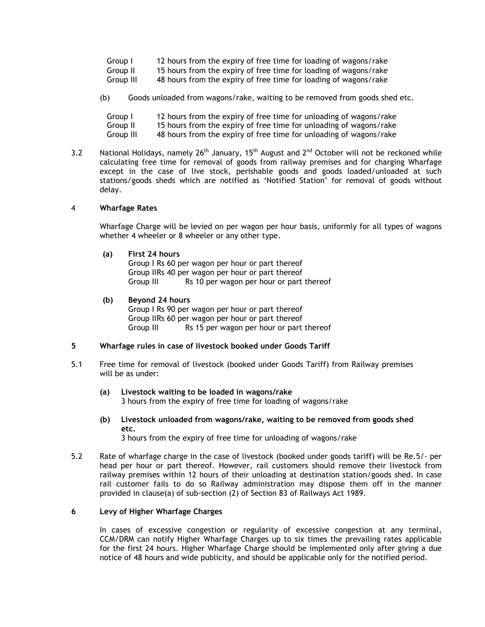| Group I   | 12 hours from the expiry of free time for loading of wagons/rake |
|-----------|------------------------------------------------------------------|
| Group II  | 15 hours from the expiry of free time for loading of wagons/rake |
| Group III | 48 hours from the expiry of free time for loading of wagons/rake |

(b) Goods unloaded from wagons/rake, waiting to be removed from goods shed etc.

| Group I   | 12 hours from the expiry of free time for unloading of wagons/rake |
|-----------|--------------------------------------------------------------------|
| Group II  | 15 hours from the expiry of free time for unloading of wagons/rake |
| Group III | 48 hours from the expiry of free time for unloading of wagons/rake |

3.2 National Holidays, namely  $26^{th}$  January, 15<sup>th</sup> August and  $2^{nd}$  October will not be reckoned while calculating free time for removal of goods from railway premises and for charging Wharfage except in the case of live stock, perishable goods and goods loaded/unloaded at such stations/goods sheds which are notified as 'Notified Station' for removal of goods without delay.

#### 4 Wharfage Rates

Wharfage Charge will be levied on per wagon per hour basis, uniformly for all types of wagons whether 4 wheeler or 8 wheeler or any other type.

(a) First 24 hours

 Group I Rs 60 per wagon per hour or part thereof Group IIRs 40 per wagon per hour or part thereof Group III Rs 10 per wagon per hour or part thereof

(b) Beyond 24 hours Group I Rs 90 per wagon per hour or part thereof Group IIRs 60 per wagon per hour or part thereof Group III Rs 15 per wagon per hour or part thereof

# 5 Wharfage rules in case of livestock booked under Goods Tariff

- 5.1 Free time for removal of livestock (booked under Goods Tariff) from Railway premises will be as under:
	- (a) Livestock waiting to be loaded in wagons/rake 3 hours from the expiry of free time for loading of wagons/rake
	- (b) Livestock unloaded from wagons/rake, waiting to be removed from goods shed etc. 3 hours from the expiry of free time for unloading of wagons/rake
- 5.2 Rate of wharfage charge in the case of livestock (booked under goods tariff) will be Re.5/- per head per hour or part thereof. However, rail customers should remove their livestock from railway premises within 12 hours of their unloading at destination station/goods shed. In case rail customer fails to do so Railway administration may dispose them off in the manner provided in clause(a) of sub-section (2) of Section 83 of Railways Act 1989.

#### 6 Levy of Higher Wharfage Charges

 In cases of excessive congestion or regularity of excessive congestion at any terminal, CCM/DRM can notify Higher Wharfage Charges up to six times the prevailing rates applicable for the first 24 hours. Higher Wharfage Charge should be implemented only after giving a due notice of 48 hours and wide publicity, and should be applicable only for the notified period.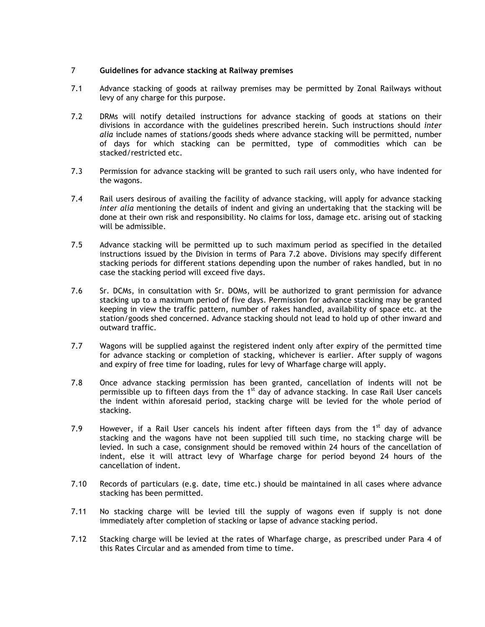## 7 Guidelines for advance stacking at Railway premises

- 7.1 Advance stacking of goods at railway premises may be permitted by Zonal Railways without levy of any charge for this purpose.
- 7.2 DRMs will notify detailed instructions for advance stacking of goods at stations on their divisions in accordance with the guidelines prescribed herein. Such instructions should inter alia include names of stations/goods sheds where advance stacking will be permitted, number of days for which stacking can be permitted, type of commodities which can be stacked/restricted etc.
- 7.3 Permission for advance stacking will be granted to such rail users only, who have indented for the wagons.
- 7.4 Rail users desirous of availing the facility of advance stacking, will apply for advance stacking inter alia mentioning the details of indent and giving an undertaking that the stacking will be done at their own risk and responsibility. No claims for loss, damage etc. arising out of stacking will be admissible.
- 7.5 Advance stacking will be permitted up to such maximum period as specified in the detailed instructions issued by the Division in terms of Para 7.2 above. Divisions may specify different stacking periods for different stations depending upon the number of rakes handled, but in no case the stacking period will exceed five days.
- 7.6 Sr. DCMs, in consultation with Sr. DOMs, will be authorized to grant permission for advance stacking up to a maximum period of five days. Permission for advance stacking may be granted keeping in view the traffic pattern, number of rakes handled, availability of space etc. at the station/goods shed concerned. Advance stacking should not lead to hold up of other inward and outward traffic.
- 7.7 Wagons will be supplied against the registered indent only after expiry of the permitted time for advance stacking or completion of stacking, whichever is earlier. After supply of wagons and expiry of free time for loading, rules for levy of Wharfage charge will apply.
- 7.8 Once advance stacking permission has been granted, cancellation of indents will not be permissible up to fifteen days from the 1<sup>st</sup> day of advance stacking. In case Rail User cancels the indent within aforesaid period, stacking charge will be levied for the whole period of stacking.
- 7.9 However, if a Rail User cancels his indent after fifteen days from the  $1<sup>st</sup>$  day of advance stacking and the wagons have not been supplied till such time, no stacking charge will be levied. In such a case, consignment should be removed within 24 hours of the cancellation of indent, else it will attract levy of Wharfage charge for period beyond 24 hours of the cancellation of indent.
- 7.10 Records of particulars (e.g. date, time etc.) should be maintained in all cases where advance stacking has been permitted.
- 7.11 No stacking charge will be levied till the supply of wagons even if supply is not done immediately after completion of stacking or lapse of advance stacking period.
- 7.12 Stacking charge will be levied at the rates of Wharfage charge, as prescribed under Para 4 of this Rates Circular and as amended from time to time.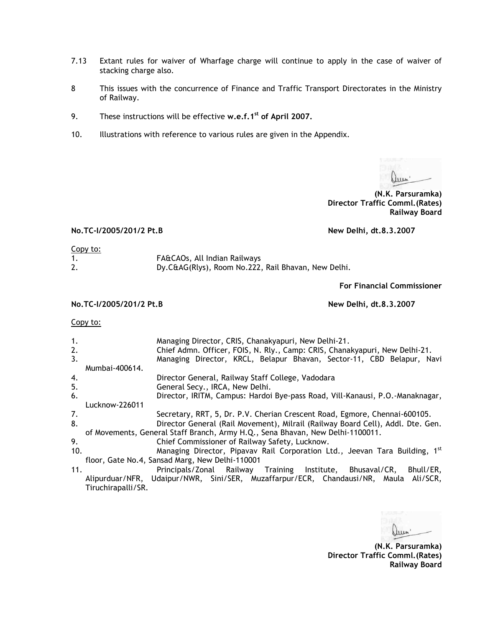- 7.13 Extant rules for waiver of Wharfage charge will continue to apply in the case of waiver of stacking charge also.
- 8 This issues with the concurrence of Finance and Traffic Transport Directorates in the Ministry of Railway.
- 9. These instructions will be effective w.e.f.1<sup>st</sup> of April 2007.
- 10. Illustrations with reference to various rules are given in the Appendix.

 $\ln n$ 

(N.K. Parsuramka) Director Traffic Comml.(Rates) Railway Board

# No.TC-I/2005/201/2 Pt.B New Delhi, dt.8.3.2007

#### Copy to:

|    | FA&CAOs, All Indian Railways                        |
|----|-----------------------------------------------------|
| 2. | Dy.C&AG(Rlys), Room No.222, Rail Bhavan, New Delhi. |

For Financial Commissioner

No.TC-I/2005/201/2 Pt.B New Delhi, dt.8.3.2007

## Copy to:

| 1.<br>2.<br>3. | Managing Director, CRIS, Chanakyapuri, New Delhi-21.<br>Chief Admn. Officer, FOIS, N. Rly., Camp: CRIS, Chanakyapuri, New Delhi-21.<br>Managing Director, KRCL, Belapur Bhavan, Sector-11, CBD Belapur, Navi |  |  |
|----------------|--------------------------------------------------------------------------------------------------------------------------------------------------------------------------------------------------------------|--|--|
|                | Mumbai-400614.                                                                                                                                                                                               |  |  |
| 4.             | Director General, Railway Staff College, Vadodara                                                                                                                                                            |  |  |
| 5.             | General Secy., IRCA, New Delhi.                                                                                                                                                                              |  |  |
| 6.             | Director, IRITM, Campus: Hardoi Bye-pass Road, Vill-Kanausi, P.O.-Manaknagar,                                                                                                                                |  |  |
|                | Lucknow-226011                                                                                                                                                                                               |  |  |
| 7.             | Secretary, RRT, 5, Dr. P.V. Cherian Crescent Road, Egmore, Chennai-600105.                                                                                                                                   |  |  |
| 8.             | Director General (Rail Movement), Milrail (Railway Board Cell), Addl. Dte. Gen.                                                                                                                              |  |  |
|                | of Movements, General Staff Branch, Army H.Q., Sena Bhavan, New Delhi-1100011.                                                                                                                               |  |  |
| 9.             | Chief Commissioner of Railway Safety, Lucknow.                                                                                                                                                               |  |  |
| 10.            | Managing Director, Pipavav Rail Corporation Ltd., Jeevan Tara Building, 1st                                                                                                                                  |  |  |
|                | floor, Gate No.4, Sansad Marg, New Delhi-110001                                                                                                                                                              |  |  |
| 11.            | Principals/Zonal Railway Training Institute, Bhusaval/CR,<br>Bhull/ER.                                                                                                                                       |  |  |
|                | Alipurduar/NFR, Udaipur/NWR, Sini/SER, Muzaffarpur/ECR, Chandausi/NR, Maula Ali/SCR,                                                                                                                         |  |  |
|                | Tiruchirapalli/SR.                                                                                                                                                                                           |  |  |

Luin

(N.K. Parsuramka) Director Traffic Comml.(Rates) Railway Board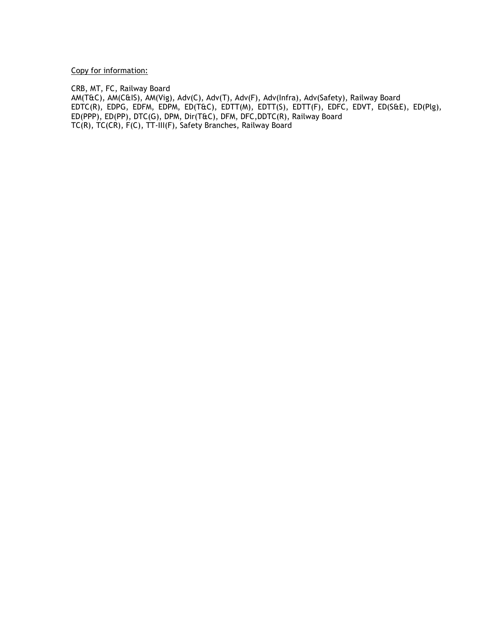Copy for information:

CRB, MT, FC, Railway Board

AM(T&C), AM(C&IS), AM(Vig), Adv(C), Adv(T), Adv(F), Adv(Infra), Adv(Safety), Railway Board EDTC(R), EDPG, EDFM, EDPM, ED(T&C), EDTT(M), EDTT(S), EDTT(F), EDFC, EDVT, ED(S&E), ED(Plg), ED(PPP), ED(PP), DTC(G), DPM, Dir(T&C), DFM, DFC,DDTC(R), Railway Board TC(R), TC(CR), F(C), TT-III(F), Safety Branches, Railway Board